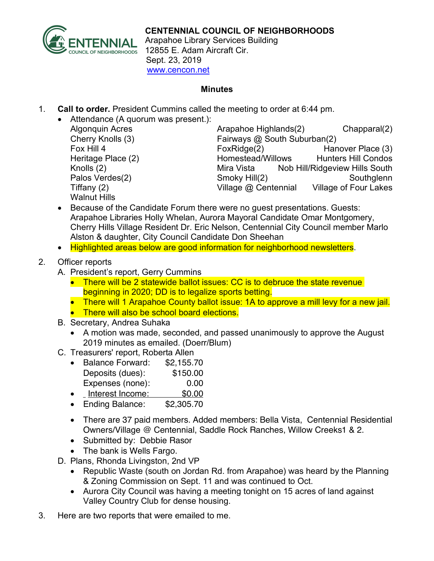

Arapahoe Library Services Building 12855 E. Adam Aircraft Cir. Sept. 23, 2019 www.cencon.net

## **Minutes**

1. **Call to order.** President Cummins called the meeting to order at 6:44 pm.

| • Attendance (A quorum was present.): |                              |                                |
|---------------------------------------|------------------------------|--------------------------------|
| <b>Algonquin Acres</b>                | Arapahoe Highlands(2)        | Chapparal(2)                   |
| Cherry Knolls (3)                     | Fairways @ South Suburban(2) |                                |
| Fox Hill 4                            | Fox Ridge(2)                 | Hanover Place (3)              |
| Heritage Place (2)                    | Homestead/Willows            | <b>Hunters Hill Condos</b>     |
| Knolls (2)                            | Mira Vista                   | Nob Hill/Ridgeview Hills South |
| Palos Verdes(2)                       | Smoky Hill(2)                | Southglenn                     |
| Tiffany $(2)$                         | Village @ Centennial         | <b>Village of Four Lakes</b>   |
| <b>Walnut Hills</b>                   |                              |                                |

- Because of the Candidate Forum there were no guest presentations. Guests: Arapahoe Libraries Holly Whelan, Aurora Mayoral Candidate Omar Montgomery, Cherry Hills Village Resident Dr. Eric Nelson, Centennial City Council member Marlo Alston & daughter, City Council Candidate Don Sheehan
- Highlighted areas below are good information for neighborhood newsletters.

## 2. Officer reports

- A. President's report, Gerry Cummins
	- There will be 2 statewide ballot issues: CC is to debruce the state revenue beginning in 2020; DD is to legalize sports betting.
	- There will 1 Arapahoe County ballot issue: 1A to approve a mill levy for a new jail.
	- There will also be school board elections.
- B. Secretary, Andrea Suhaka
	- A motion was made, seconded, and passed unanimously to approve the August 2019 minutes as emailed. (Doerr/Blum)
- C. Treasurers' report, Roberta Allen

| <b>Balance Forward:</b> | \$2,155.70 |
|-------------------------|------------|
| Deposits (dues):        | \$150.00   |
| Expenses (none):        | 0.00       |
| .                       | ----       |

- Interest Income: \$0.00
- Ending Balance: \$2,305.70
- There are 37 paid members. Added members: Bella Vista, Centennial Residential Owners/Village @ Centennial, Saddle Rock Ranches, Willow Creeks1 & 2.
- Submitted by: Debbie Rasor
- The bank is Wells Fargo.
- D. Plans, Rhonda Livingston, 2nd VP
	- Republic Waste (south on Jordan Rd. from Arapahoe) was heard by the Planning & Zoning Commission on Sept. 11 and was continued to Oct.
	- Aurora City Council was having a meeting tonight on 15 acres of land against Valley Country Club for dense housing.
- 3. Here are two reports that were emailed to me.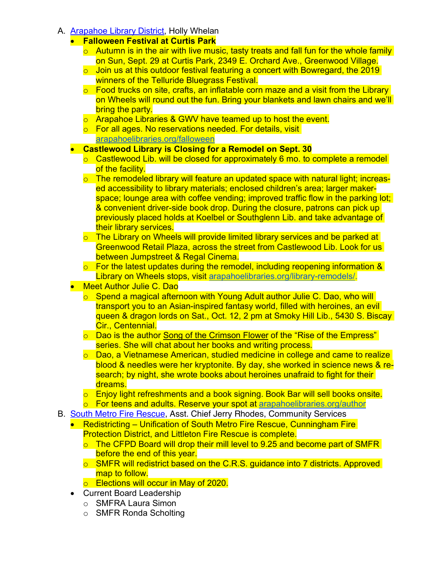- A. Arapahoe Library District, Holly Whelan
	- **Falloween Festival at Curtis Park**
		- $\circ$  Autumn is in the air with live music, tasty treats and fall fun for the whole family on Sun, Sept. 29 at Curtis Park, 2349 E. Orchard Ave., Greenwood Village.
		- $\circ$  Join us at this outdoor festival featuring a concert with Bowregard, the 2019 winners of the Telluride Bluegrass Festival.
		- $\circ$  Food trucks on site, crafts, an inflatable corn maze and a visit from the Library on Wheels will round out the fun. Bring your blankets and lawn chairs and we'll bring the party.
		- o Arapahoe Libraries & GWV have teamed up to host the event.
		- o For all ages. No reservations needed. For details, visit arapahoelibraries.org/falloween

## • **Castlewood Library is Closing for a Remodel on Sept. 30**

- o Castlewood Lib. will be closed for approximately 6 mo. to complete a remodel of the facility.
- $\circ$  The remodeled library will feature an updated space with natural light; increased accessibility to library materials; enclosed children's area; larger makerspace; lounge area with coffee vending; improved traffic flow in the parking lot; & convenient driver-side book drop. During the closure, patrons can pick up previously placed holds at Koelbel or Southglenn Lib. and take advantage of their library services.
- o The Library on Wheels will provide limited library services and be parked at Greenwood Retail Plaza, across the street from Castlewood Lib. Look for us between Jumpstreet & Regal Cinema.
- o For the latest updates during the remodel, including reopening information & Library on Wheels stops, visit arapahoelibraries.org/library-remodels/.
- **Meet Author Julie C. Dao** 
	- o Spend a magical afternoon with Young Adult author Julie C. Dao, who will transport you to an Asian-inspired fantasy world, filled with heroines, an evil queen & dragon lords on Sat., Oct. 12, 2 pm at Smoky Hill Lib., 5430 S. Biscay Cir., Centennial.
	- $\circ$  Dao is the author Song of the Crimson Flower of the "Rise of the Empress" series. She will chat about her books and writing process.
	- o Dao, a Vietnamese American, studied medicine in college and came to realize blood & needles were her kryptonite. By day, she worked in science news & research; by night, she wrote books about heroines unafraid to fight for their dreams.
	- o Enjoy light refreshments and a book signing. Book Bar will sell books onsite.
	- o For teens and adults. Reserve your spot at arapahoelibraries.org/author
- B. South Metro Fire Rescue, Asst. Chief Jerry Rhodes, Community Services
	- Redistricting Unification of South Metro Fire Rescue, Cunningham Fire Protection District, and Littleton Fire Rescue is complete.
		- o The CFPD Board will drop their mill level to 9.25 and become part of SMFR before the end of this year.
		- o SMFR will redistrict based on the C.R.S. guidance into 7 districts. Approved map to follow.
		- **Elections will occur in May of 2020.**
	- Current Board Leadership
		- o SMFRA Laura Simon
		- o SMFR Ronda Scholting